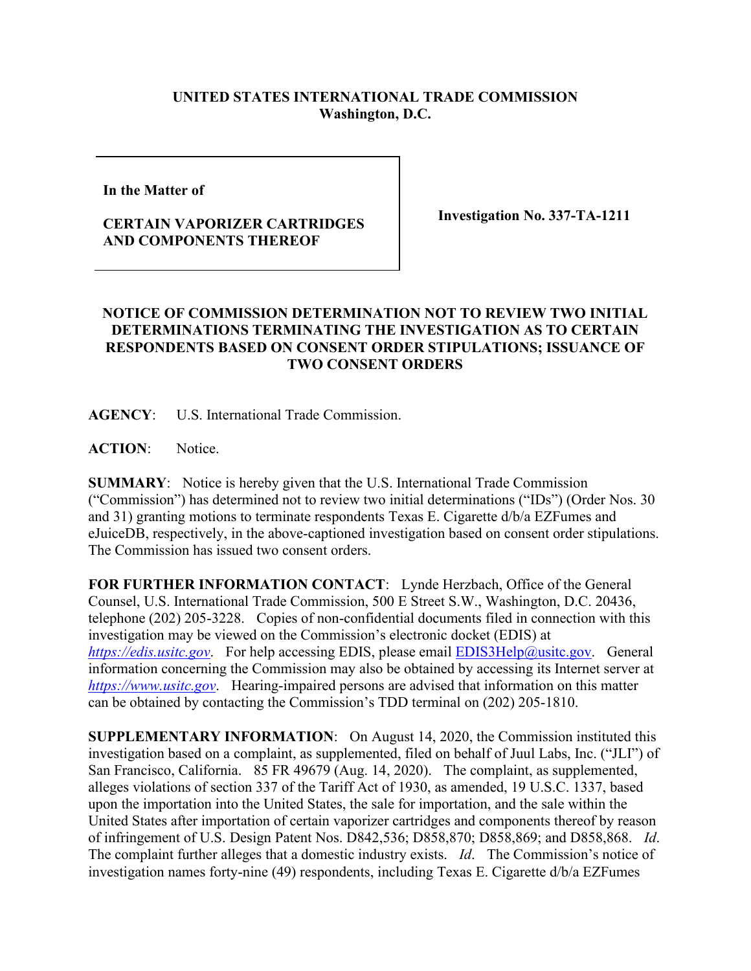## **UNITED STATES INTERNATIONAL TRADE COMMISSION Washington, D.C.**

**In the Matter of** 

## **CERTAIN VAPORIZER CARTRIDGES AND COMPONENTS THEREOF**

**Investigation No. 337-TA-1211**

## **NOTICE OF COMMISSION DETERMINATION NOT TO REVIEW TWO INITIAL DETERMINATIONS TERMINATING THE INVESTIGATION AS TO CERTAIN RESPONDENTS BASED ON CONSENT ORDER STIPULATIONS; ISSUANCE OF TWO CONSENT ORDERS**

**AGENCY**: U.S. International Trade Commission.

**ACTION**: Notice.

**SUMMARY**: Notice is hereby given that the U.S. International Trade Commission ("Commission") has determined not to review two initial determinations ("IDs") (Order Nos. 30 and 31) granting motions to terminate respondents Texas E. Cigarette d/b/a EZFumes and eJuiceDB, respectively, in the above-captioned investigation based on consent order stipulations. The Commission has issued two consent orders.

**FOR FURTHER INFORMATION CONTACT**: Lynde Herzbach, Office of the General Counsel, U.S. International Trade Commission, 500 E Street S.W., Washington, D.C. 20436, telephone (202) 205-3228. Copies of non-confidential documents filed in connection with this investigation may be viewed on the Commission's electronic docket (EDIS) at *[https://edis.usitc.gov](https://edis.usitc.gov/)*. For help accessing EDIS, please email [EDIS3Help@usitc.gov.](mailto:EDIS3Help@usitc.gov) General information concerning the Commission may also be obtained by accessing its Internet server at *[https://www.usitc.gov](https://www.usitc.gov/)*. Hearing-impaired persons are advised that information on this matter can be obtained by contacting the Commission's TDD terminal on (202) 205-1810.

**SUPPLEMENTARY INFORMATION**: On August 14, 2020, the Commission instituted this investigation based on a complaint, as supplemented, filed on behalf of Juul Labs, Inc. ("JLI") of San Francisco, California. 85 FR 49679 (Aug. 14, 2020). The complaint, as supplemented, alleges violations of section 337 of the Tariff Act of 1930, as amended, 19 U.S.C. 1337, based upon the importation into the United States, the sale for importation, and the sale within the United States after importation of certain vaporizer cartridges and components thereof by reason of infringement of U.S. Design Patent Nos. D842,536; D858,870; D858,869; and D858,868. *Id*. The complaint further alleges that a domestic industry exists. *Id*. The Commission's notice of investigation names forty-nine (49) respondents, including Texas E. Cigarette d/b/a EZFumes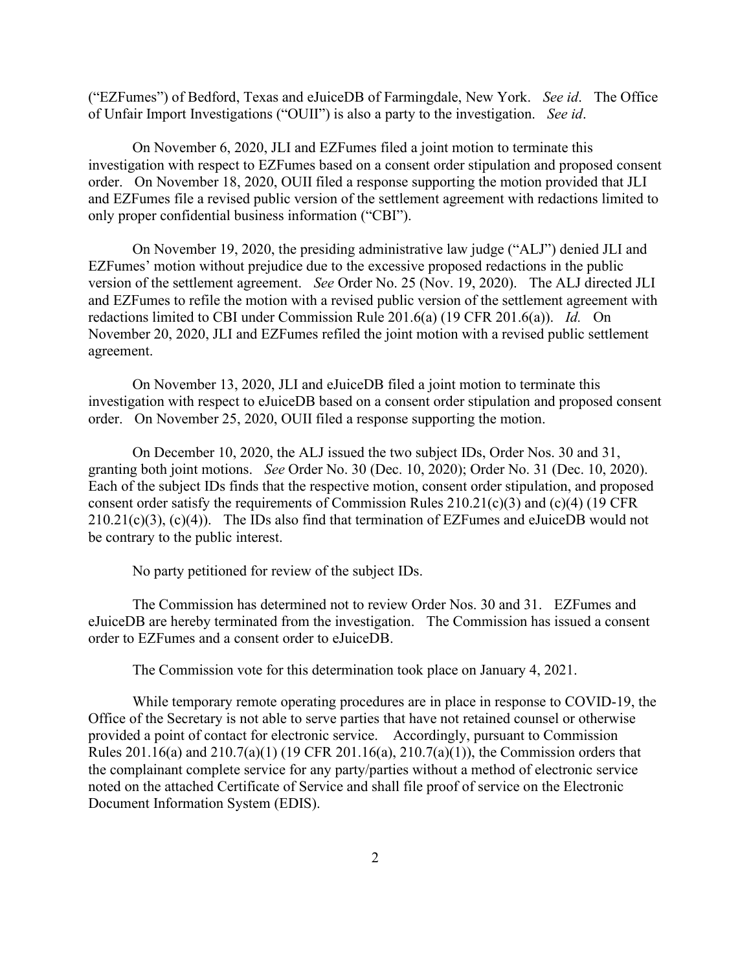("EZFumes") of Bedford, Texas and eJuiceDB of Farmingdale, New York. *See id*. The Office of Unfair Import Investigations ("OUII") is also a party to the investigation. *See id*.

On November 6, 2020, JLI and EZFumes filed a joint motion to terminate this investigation with respect to EZFumes based on a consent order stipulation and proposed consent order. On November 18, 2020, OUII filed a response supporting the motion provided that JLI and EZFumes file a revised public version of the settlement agreement with redactions limited to only proper confidential business information ("CBI").

On November 19, 2020, the presiding administrative law judge ("ALJ") denied JLI and EZFumes' motion without prejudice due to the excessive proposed redactions in the public version of the settlement agreement. *See* Order No. 25 (Nov. 19, 2020). The ALJ directed JLI and EZFumes to refile the motion with a revised public version of the settlement agreement with redactions limited to CBI under Commission Rule 201.6(a) (19 CFR 201.6(a)). *Id.* On November 20, 2020, JLI and EZFumes refiled the joint motion with a revised public settlement agreement.

On November 13, 2020, JLI and eJuiceDB filed a joint motion to terminate this investigation with respect to eJuiceDB based on a consent order stipulation and proposed consent order. On November 25, 2020, OUII filed a response supporting the motion.

On December 10, 2020, the ALJ issued the two subject IDs, Order Nos. 30 and 31, granting both joint motions. *See* Order No. 30 (Dec. 10, 2020); Order No. 31 (Dec. 10, 2020). Each of the subject IDs finds that the respective motion, consent order stipulation, and proposed consent order satisfy the requirements of Commission Rules 210.21(c)(3) and (c)(4) (19 CFR  $210.21(c)(3)$ ,  $(c)(4)$ ). The IDs also find that termination of EZFumes and eJuiceDB would not be contrary to the public interest.

No party petitioned for review of the subject IDs.

The Commission has determined not to review Order Nos. 30 and 31. EZFumes and eJuiceDB are hereby terminated from the investigation. The Commission has issued a consent order to EZFumes and a consent order to eJuiceDB.

The Commission vote for this determination took place on January 4, 2021.

While temporary remote operating procedures are in place in response to COVID-19, the Office of the Secretary is not able to serve parties that have not retained counsel or otherwise provided a point of contact for electronic service. Accordingly, pursuant to Commission Rules 201.16(a) and 210.7(a)(1) (19 CFR 201.16(a), 210.7(a)(1)), the Commission orders that the complainant complete service for any party/parties without a method of electronic service noted on the attached Certificate of Service and shall file proof of service on the Electronic Document Information System (EDIS).